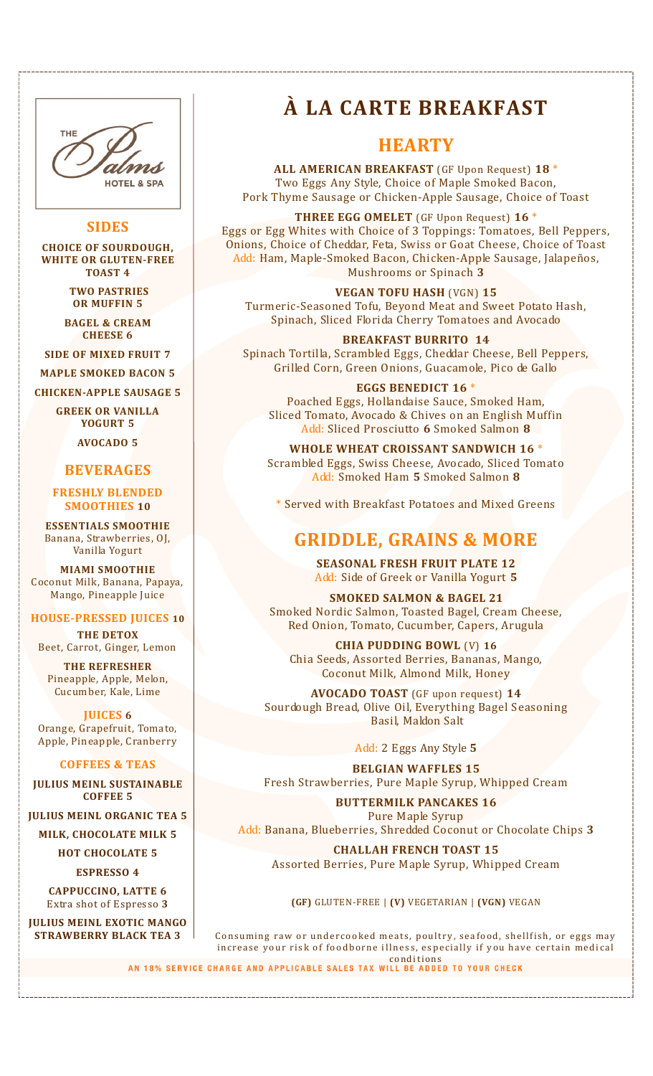

### **SIDES**

**CHOICE OF SOURDOUGH, WHITE OR GLUTEN-FREE TOAST 4**

> **TWO PASTRIES OR MUFFIN 5**

**BAGEL & CREAM CHEESE 6**

**SIDE OF MIXED FRUIT 7 MAPLE SMOKED BACON 5**

**CHICKEN-APPLE SAUSAGE 5**

**GREEK OR VANILLA YOGURT 5**

**AVOCADO 5**

### **BEVERAGES**

**FRESHLY BLENDED SMOOTHIES 10**

**ESSENTIALS SMOOTHIE**  Banana, Strawberries, OJ, Vanilla Yogurt

**MIAMI SMOOTHIE** Coconut Milk, Banana, Papaya, Mango, Pineapple Juice

#### **HOUSE-PRESSED JUICES 10**

**THE DETOX** Beet, Carrot, Ginger, Lemon

**THE REFRESHER** Pineapple, Apple, Melon, Cucumber, Kale, Lime

**JUICES 6** Orange, Grapefruit, Tomato, Apple, Pineapple, Cranberry

### **COFFEES & TEAS**

**JULIUS MEINL SUSTAINABLE COFFEE 5**

**JULIUS MEINL ORGANIC TEA 5**

**MILK, CHOCOLATE MILK 5**

**HOT CHOCOLATE 5 ESPRESSO 4**

**CAPPUCCINO, LATTE 6** Extra shot of Espresso **3**

**JULIUS MEINL EXOTIC MANGO STRAWBERRY BLACK TEA 3**

# **À LA CARTE BREAKFAST**

## **HEARTY**

**ALL AMERICAN BREAKFAST** (GF Upon Request) **18** \* Two Eggs Any Style, Choice of Maple Smoked Bacon, Pork Thyme Sausage or Chicken-Apple Sausage, Choice of Toast

**THREE EGG OMELET** (GF Upon Request) **16** \* Eggs or Egg Whites with Choice of 3 Toppings: Tomatoes, Bell Peppers, Onions, Choice of Cheddar, Feta, Swiss or Goat Cheese, Choice of Toast Add: Ham, Maple-Smoked Bacon, Chicken-Apple Sausage, Jalapeños, Mushrooms or Spinach **3**

**VEGAN TOFU HASH** (VGN) **15** Turmeric-Seasoned Tofu, Beyond Meat and Sweet Potato Hash, Spinach, Sliced Florida Cherry Tomatoes and Avocado

**BREAKFAST BURRITO 14** Spinach Tortilla, Scrambled Eggs, Cheddar Cheese, Bell Peppers, Grilled Corn, Green Onions, Guacamole, Pico de Gallo

**EGGS BENEDICT 16** \* Poached Eggs, Hollandaise Sauce, Smoked Ham, Sliced Tomato, Avocado & Chives on an English Muffin Add: Sliced Prosciutto **6** Smoked Salmon **8**

**WHOLE WHEAT CROISSANT SANDWICH 16** \* Scrambled Eggs, Swiss Cheese, Avocado, Sliced Tomato Add: Smoked Ham **5** Smoked Salmon **8**

\* Served with Breakfast Potatoes and Mixed Greens

## **GRIDDLE, GRAINS & MORE**

**SEASONAL FRESH FRUIT PLATE 12** Add: Side of Greek or Vanilla Yogurt **5**

**SMOKED SALMON & BAGEL 21** Smoked Nordic Salmon, Toasted Bagel, Cream Cheese, Red Onion, Tomato, Cucumber, Capers, Arugula

**CHIA PUDDING BOWL** (V) **16** Chia Seeds, Assorted Berries, Bananas, Mango, Coconut Milk, Almond Milk, Honey

**AVOCADO TOAST** (GF upon request) **14** Sourdough Bread, Olive Oil, Everything Bagel Seasoning Basil, Maldon Salt

Add: 2 Eggs Any Style **5**

**BELGIAN WAFFLES 15** Fresh Strawberries, Pure Maple Syrup, Whipped Cream

**BUTTERMILK PANCAKES 16** Pure Maple Syrup Add: Banana, Blueberries, Shredded Coconut or Chocolate Chips **3**

**CHALLAH FRENCH TOAST 15** Assorted Berries, Pure Maple Syrup, Whipped Cream

**(GF)** GLUTEN-FREE | **(V)** VEGETARIAN | **(VGN)** VEGAN

Consuming raw or undercooked meats, poultry, seafood, shellfish, or eggs may increase your risk of foodborne illness, especially if you have certain medical **AN 18% SERVICE CHARGE AND APPLICABLE SALES TAX WILL BE ADDED TO YOUR CHECK**